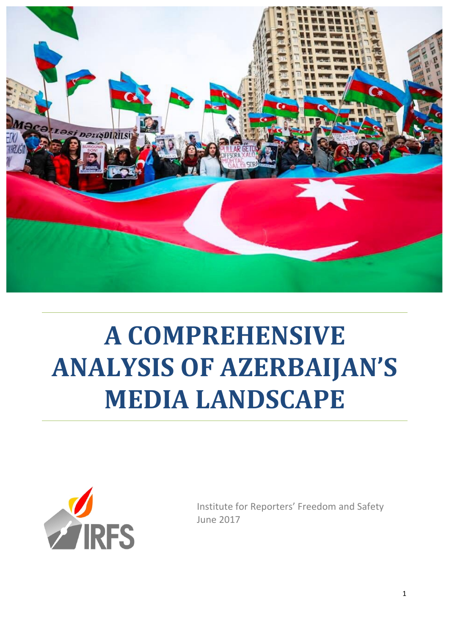

# **A COMPREHENSIVE ANALYSIS OF AZERBAIJAN'S MEDIA LANDSCAPE**



Institute for Reporters' Freedom and Safety June 2017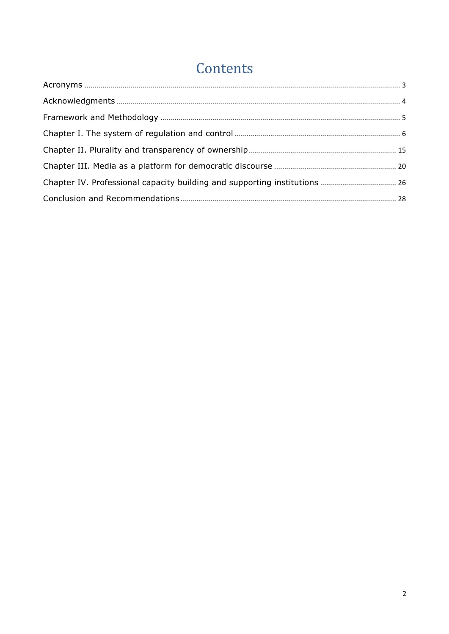# Contents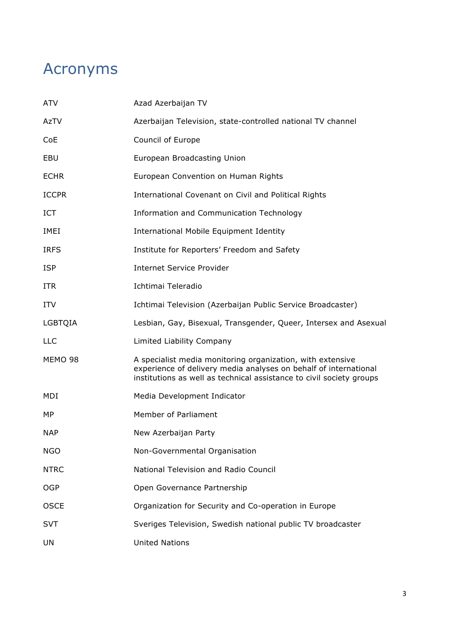# Acronyms

| <b>ATV</b>   | Azad Azerbaijan TV                                                                                                                                                                                     |
|--------------|--------------------------------------------------------------------------------------------------------------------------------------------------------------------------------------------------------|
| AzTV         | Azerbaijan Television, state-controlled national TV channel                                                                                                                                            |
| CoE          | Council of Europe                                                                                                                                                                                      |
| EBU          | European Broadcasting Union                                                                                                                                                                            |
| <b>ECHR</b>  | European Convention on Human Rights                                                                                                                                                                    |
| <b>ICCPR</b> | International Covenant on Civil and Political Rights                                                                                                                                                   |
| <b>ICT</b>   | Information and Communication Technology                                                                                                                                                               |
| IMEI         | International Mobile Equipment Identity                                                                                                                                                                |
| <b>IRFS</b>  | Institute for Reporters' Freedom and Safety                                                                                                                                                            |
| <b>ISP</b>   | <b>Internet Service Provider</b>                                                                                                                                                                       |
| <b>ITR</b>   | Ichtimai Teleradio                                                                                                                                                                                     |
| <b>ITV</b>   | Ichtimai Television (Azerbaijan Public Service Broadcaster)                                                                                                                                            |
| LGBTQIA      | Lesbian, Gay, Bisexual, Transgender, Queer, Intersex and Asexual                                                                                                                                       |
| <b>LLC</b>   | Limited Liability Company                                                                                                                                                                              |
| MEMO 98      | A specialist media monitoring organization, with extensive<br>experience of delivery media analyses on behalf of international<br>institutions as well as technical assistance to civil society groups |
| MDI          | Media Development Indicator                                                                                                                                                                            |
| МP           | Member of Parliament                                                                                                                                                                                   |
| <b>NAP</b>   | New Azerbaijan Party                                                                                                                                                                                   |
| <b>NGO</b>   | Non-Governmental Organisation                                                                                                                                                                          |
| <b>NTRC</b>  | National Television and Radio Council                                                                                                                                                                  |
| <b>OGP</b>   | Open Governance Partnership                                                                                                                                                                            |
| <b>OSCE</b>  | Organization for Security and Co-operation in Europe                                                                                                                                                   |
| <b>SVT</b>   | Sveriges Television, Swedish national public TV broadcaster                                                                                                                                            |
| UN           | <b>United Nations</b>                                                                                                                                                                                  |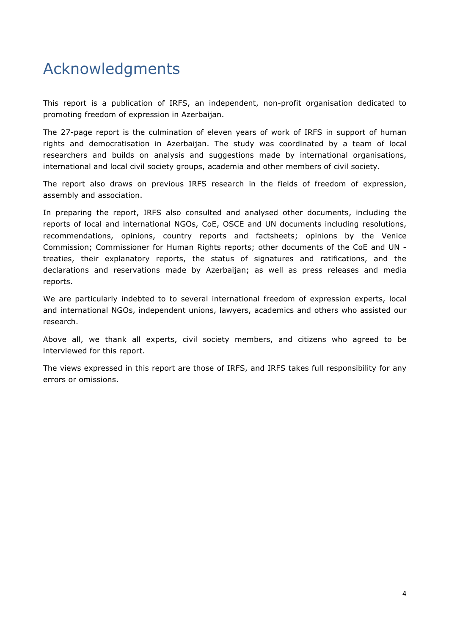# Acknowledgments

This report is a publication of IRFS, an independent, non-profit organisation dedicated to promoting freedom of expression in Azerbaijan.

The 27-page report is the culmination of eleven years of work of IRFS in support of human rights and democratisation in Azerbaijan. The study was coordinated by a team of local researchers and builds on analysis and suggestions made by international organisations, international and local civil society groups, academia and other members of civil society.

The report also draws on previous IRFS research in the fields of freedom of expression, assembly and association.

In preparing the report, IRFS also consulted and analysed other documents, including the reports of local and international NGOs, CoE, OSCE and UN documents including resolutions, recommendations, opinions, country reports and factsheets; opinions by the Venice Commission; Commissioner for Human Rights reports; other documents of the CoE and UN treaties, their explanatory reports, the status of signatures and ratifications, and the declarations and reservations made by Azerbaijan; as well as press releases and media reports.

We are particularly indebted to to several international freedom of expression experts, local and international NGOs, independent unions, lawyers, academics and others who assisted our research.

Above all, we thank all experts, civil society members, and citizens who agreed to be interviewed for this report.

The views expressed in this report are those of IRFS, and IRFS takes full responsibility for any errors or omissions.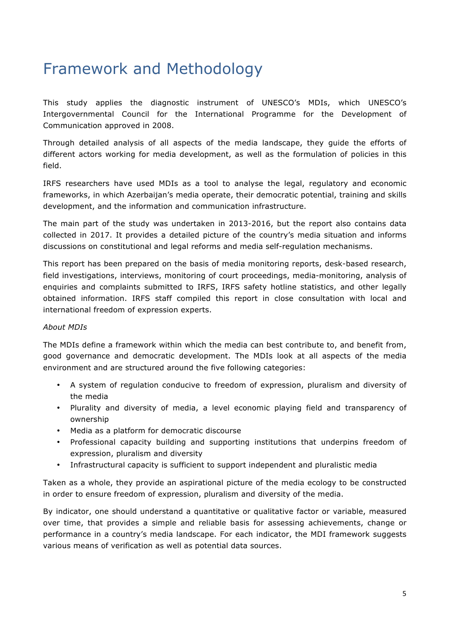# Framework and Methodology

This study applies the diagnostic instrument of UNESCO's MDIs, which UNESCO's Intergovernmental Council for the International Programme for the Development of Communication approved in 2008.

Through detailed analysis of all aspects of the media landscape, they guide the efforts of different actors working for media development, as well as the formulation of policies in this field.

IRFS researchers have used MDIs as a tool to analyse the legal, regulatory and economic frameworks, in which Azerbaijan's media operate, their democratic potential, training and skills development, and the information and communication infrastructure.

The main part of the study was undertaken in 2013-2016, but the report also contains data collected in 2017. It provides a detailed picture of the country's media situation and informs discussions on constitutional and legal reforms and media self-regulation mechanisms.

This report has been prepared on the basis of media monitoring reports, desk-based research, field investigations, interviews, monitoring of court proceedings, media-monitoring, analysis of enquiries and complaints submitted to IRFS, IRFS safety hotline statistics, and other legally obtained information. IRFS staff compiled this report in close consultation with local and international freedom of expression experts.

### *About MDIs*

The MDIs define a framework within which the media can best contribute to, and benefit from, good governance and democratic development. The MDIs look at all aspects of the media environment and are structured around the five following categories:

- A system of regulation conducive to freedom of expression, pluralism and diversity of the media
- Plurality and diversity of media, a level economic playing field and transparency of ownership
- Media as a platform for democratic discourse
- Professional capacity building and supporting institutions that underpins freedom of expression, pluralism and diversity
- Infrastructural capacity is sufficient to support independent and pluralistic media

Taken as a whole, they provide an aspirational picture of the media ecology to be constructed in order to ensure freedom of expression, pluralism and diversity of the media.

By indicator, one should understand a quantitative or qualitative factor or variable, measured over time, that provides a simple and reliable basis for assessing achievements, change or performance in a country's media landscape. For each indicator, the MDI framework suggests various means of verification as well as potential data sources.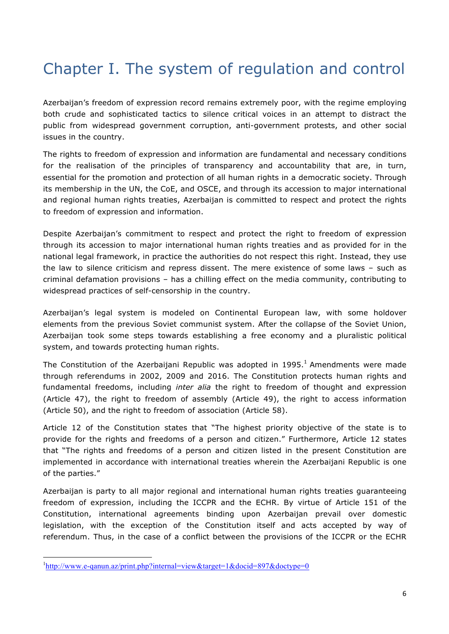# Chapter I. The system of regulation and control

Azerbaijan's freedom of expression record remains extremely poor, with the regime employing both crude and sophisticated tactics to silence critical voices in an attempt to distract the public from widespread government corruption, anti-government protests, and other social issues in the country.

The rights to freedom of expression and information are fundamental and necessary conditions for the realisation of the principles of transparency and accountability that are, in turn, essential for the promotion and protection of all human rights in a democratic society. Through its membership in the UN, the CoE, and OSCE, and through its accession to major international and regional human rights treaties, Azerbaijan is committed to respect and protect the rights to freedom of expression and information.

Despite Azerbaijan's commitment to respect and protect the right to freedom of expression through its accession to major international human rights treaties and as provided for in the national legal framework, in practice the authorities do not respect this right. Instead, they use the law to silence criticism and repress dissent. The mere existence of some laws – such as criminal defamation provisions – has a chilling effect on the media community, contributing to widespread practices of self-censorship in the country.

Azerbaijan's legal system is modeled on Continental European law, with some holdover elements from the previous Soviet communist system. After the collapse of the Soviet Union, Azerbaijan took some steps towards establishing a free economy and a pluralistic political system, and towards protecting human rights.

The Constitution of the Azerbaijani Republic was adopted in  $1995<sup>1</sup>$  Amendments were made through referendums in 2002, 2009 and 2016. The Constitution protects human rights and fundamental freedoms, including *inter alia* the right to freedom of thought and expression (Article 47), the right to freedom of assembly (Article 49), the right to access information (Article 50), and the right to freedom of association (Article 58).

Article 12 of the Constitution states that "The highest priority objective of the state is to provide for the rights and freedoms of a person and citizen." Furthermore, Article 12 states that "The rights and freedoms of a person and citizen listed in the present Constitution are implemented in accordance with international treaties wherein the Azerbaijani Republic is one of the parties."

Azerbaijan is party to all major regional and international human rights treaties guaranteeing freedom of expression, including the ICCPR and the ECHR. By virtue of Article 151 of the Constitution, international agreements binding upon Azerbaijan prevail over domestic legislation, with the exception of the Constitution itself and acts accepted by way of referendum. Thus, in the case of a conflict between the provisions of the ICCPR or the ECHR

<u> 1989 - Jan Samuel Barbara, margaret e</u>

<sup>&</sup>lt;sup>1</sup>http://www.e-qanun.az/print.php?internal=view&target=1&docid=897&doctype=0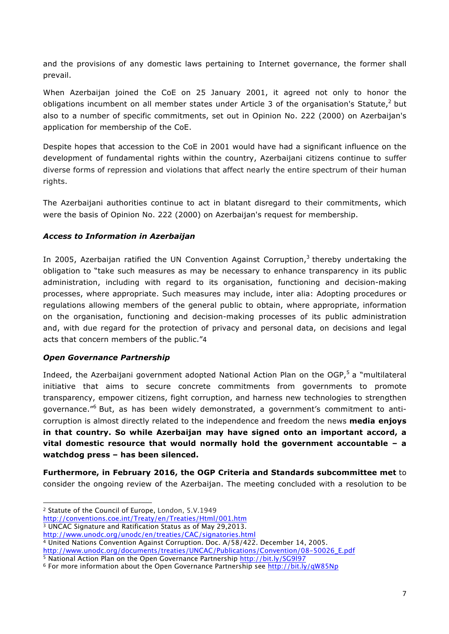and the provisions of any domestic laws pertaining to Internet governance, the former shall prevail.

When Azerbaijan joined the CoE on 25 January 2001, it agreed not only to honor the obligations incumbent on all member states under Article 3 of the organisation's Statute, $2$  but also to a number of specific commitments, set out in Opinion No. 222 (2000) on Azerbaijan's application for membership of the CoE.

Despite hopes that accession to the CoE in 2001 would have had a significant influence on the development of fundamental rights within the country, Azerbaijani citizens continue to suffer diverse forms of repression and violations that affect nearly the entire spectrum of their human rights.

The Azerbaijani authorities continue to act in blatant disregard to their commitments, which were the basis of Opinion No. 222 (2000) on Azerbaijan's request for membership.

### *Access to Information in Azerbaijan*

In 2005, Azerbaijan ratified the UN Convention Against Corruption, $3$  thereby undertaking the obligation to "take such measures as may be necessary to enhance transparency in its public administration, including with regard to its organisation, functioning and decision-making processes, where appropriate. Such measures may include, inter alia: Adopting procedures or regulations allowing members of the general public to obtain, where appropriate, information on the organisation, functioning and decision-making processes of its public administration and, with due regard for the protection of privacy and personal data, on decisions and legal acts that concern members of the public."4

### *Open Governance Partnership*

Indeed, the Azerbaijani government adopted National Action Plan on the OGP,<sup>5</sup> a "multilateral initiative that aims to secure concrete commitments from governments to promote transparency, empower citizens, fight corruption, and harness new technologies to strengthen governance."<sup>6</sup> But, as has been widely demonstrated, a government's commitment to anticorruption is almost directly related to the independence and freedom the news **media enjoys in that country. So while Azerbaijan may have signed onto an important accord, a vital domestic resource that would normally hold the government accountable – a watchdog press – has been silenced.**

**Furthermore, in February 2016, the OGP Criteria and Standards subcommittee met** to consider the ongoing review of the Azerbaijan. The meeting concluded with a resolution to be

<u> 1989 - Jan Samuel Barbara, margaret e</u>

<sup>2</sup> Statute of the Council of Europe, London, 5.V.1949

http://conventions.coe.int/Treaty/en/Treaties/Html/001.htm

<sup>3</sup> UNCAC Signature and Ratification Status as of May 29,2013.

http://www.unodc.org/unodc/en/treaties/CAC/signatories.html

<sup>4</sup> United Nations Convention Against Corruption. Doc. A/58/422. December 14, 2005.

http://www.unodc.org/documents/treaties/UNCAC/Publications/Convention/08-50026\_E.pdf

<sup>5</sup> National Action Plan on the Open Governance Partnership http://bit.ly/SG9l97

<sup>6</sup> For more information about the Open Governance Partnership see http://bit.ly/qW85Np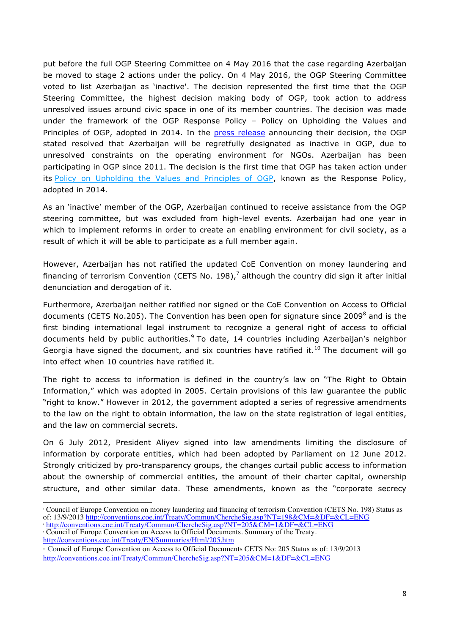put before the full OGP Steering Committee on 4 May 2016 that the case regarding Azerbaijan be moved to stage 2 actions under the policy. On 4 May 2016, the OGP Steering Committee voted to list Azerbaijan as 'inactive'. The decision represented the first time that the OGP Steering Committee, the highest decision making body of OGP, took action to address unresolved issues around civic space in one of its member countries. The decision was made under the framework of the OGP Response Policy – Policy on Upholding the Values and Principles of OGP, adopted in 2014. In the press release announcing their decision, the OGP stated resolved that Azerbaijan will be regretfully designated as inactive in OGP, due to unresolved constraints on the operating environment for NGOs. Azerbaijan has been participating in OGP since 2011. The decision is the first time that OGP has taken action under its Policy on Upholding the Values and Principles of OGP, known as the Response Policy, adopted in 2014.

As an 'inactive' member of the OGP, Azerbaijan continued to receive assistance from the OGP steering committee, but was excluded from high-level events. Azerbaijan had one year in which to implement reforms in order to create an enabling environment for civil society, as a result of which it will be able to participate as a full member again.

However, Azerbaijan has not ratified the updated CoE Convention on money laundering and financing of terrorism Convention (CETS No. 198),<sup>7</sup> although the country did sign it after initial denunciation and derogation of it.

Furthermore, Azerbaijan neither ratified nor signed or the CoE Convention on Access to Official documents (CETS No.205). The Convention has been open for signature since 2009<sup>8</sup> and is the first binding international legal instrument to recognize a general right of access to official documents held by public authorities. $9$  To date, 14 countries including Azerbaijan's neighbor Georgia have signed the document, and six countries have ratified it.<sup>10</sup> The document will go into effect when 10 countries have ratified it.

The right to access to information is defined in the country's law on "The Right to Obtain Information," which was adopted in 2005. Certain provisions of this law guarantee the public "right to know." However in 2012, the government adopted a series of regressive amendments to the law on the right to obtain information, the law on the state registration of legal entities, and the law on commercial secrets.

On 6 July 2012, President Aliyev signed into law amendments limiting the disclosure of information by corporate entities, which had been adopted by Parliament on 12 June 2012. Strongly criticized by pro-transparency groups, the changes curtail public access to information about the ownership of commercial entities, the amount of their charter capital, ownership structure, and other similar data. These amendments, known as the "corporate secrecy

 <sup>7</sup> Council of Europe Convention on money laundering and financing of terrorism Convention (CETS No. 198) Status as of: 13/9/2013 http://conventions.coe.int/Treaty/Commun/ChercheSig.asp?NT=198&CM=&DF=&CL=ENG <sup>8</sup> http://conventions.coe.int/Treaty/Commun/ChercheSig.asp?NT=205&CM=1&DF=&CL=ENG

<sup>9</sup> Council of Europe Convention on Access to Official Documents. Summary of the Treaty. http://conventions.coe.int/Treaty/EN/Summaries/Html/205.htm

<sup>10</sup> Council of Europe Convention on Access to Official Documents CETS No: 205 Status as of: 13/9/2013

http://conventions.coe.int/Treaty/Commun/ChercheSig.asp?NT=205&CM=1&DF=&CL=ENG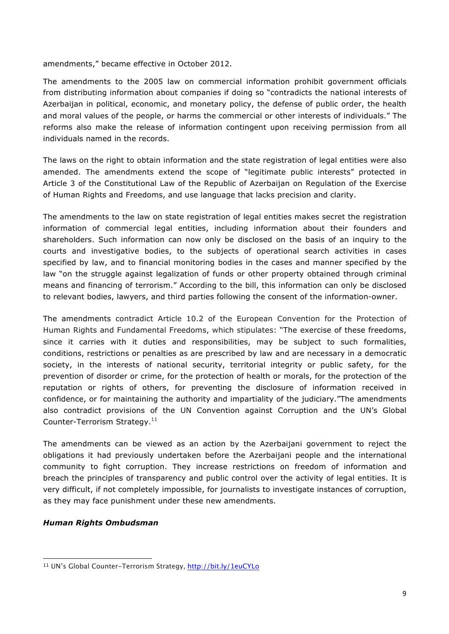amendments," became effective in October 2012.

The amendments to the 2005 law on commercial information prohibit government officials from distributing information about companies if doing so "contradicts the national interests of Azerbaijan in political, economic, and monetary policy, the defense of public order, the health and moral values of the people, or harms the commercial or other interests of individuals." The reforms also make the release of information contingent upon receiving permission from all individuals named in the records.

The laws on the right to obtain information and the state registration of legal entities were also amended. The amendments extend the scope of "legitimate public interests" protected in Article 3 of the Constitutional Law of the Republic of Azerbaijan on Regulation of the Exercise of Human Rights and Freedoms, and use language that lacks precision and clarity.

The amendments to the law on state registration of legal entities makes secret the registration information of commercial legal entities, including information about their founders and shareholders. Such information can now only be disclosed on the basis of an inquiry to the courts and investigative bodies, to the subjects of operational search activities in cases specified by law, and to financial monitoring bodies in the cases and manner specified by the law "on the struggle against legalization of funds or other property obtained through criminal means and financing of terrorism." According to the bill, this information can only be disclosed to relevant bodies, lawyers, and third parties following the consent of the information-owner.

The amendments contradict Article 10.2 of the European Convention for the Protection of Human Rights and Fundamental Freedoms, which stipulates: "The exercise of these freedoms, since it carries with it duties and responsibilities, may be subject to such formalities, conditions, restrictions or penalties as are prescribed by law and are necessary in a democratic society, in the interests of national security, territorial integrity or public safety, for the prevention of disorder or crime, for the protection of health or morals, for the protection of the reputation or rights of others, for preventing the disclosure of information received in confidence, or for maintaining the authority and impartiality of the judiciary."The amendments also contradict provisions of the UN Convention against Corruption and the UN's Global Counter-Terrorism Strategy.<sup>11</sup>

The amendments can be viewed as an action by the Azerbaijani government to reject the obligations it had previously undertaken before the Azerbaijani people and the international community to fight corruption. They increase restrictions on freedom of information and breach the principles of transparency and public control over the activity of legal entities. It is very difficult, if not completely impossible, for journalists to investigate instances of corruption, as they may face punishment under these new amendments.

### *Human Rights Ombudsman*

 <sup>11</sup> UN's Global Counter-Terrorism Strategy, http://bit.ly/1euCYLo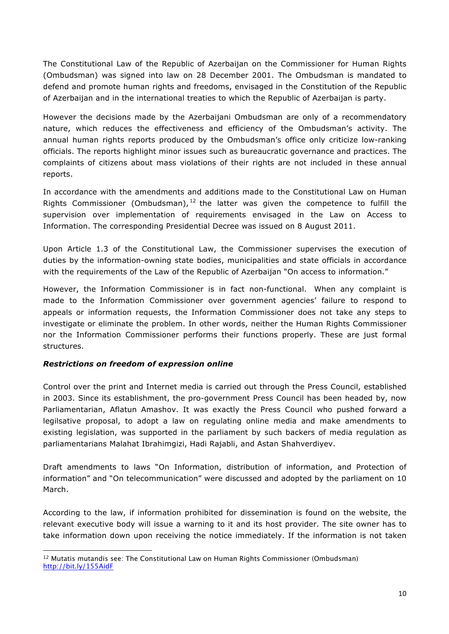The Constitutional Law of the Republic of Azerbaijan on the Commissioner for Human Rights (Ombudsman) was signed into law on 28 December 2001. The Ombudsman is mandated to defend and promote human rights and freedoms, envisaged in the Constitution of the Republic of Azerbaijan and in the international treaties to which the Republic of Azerbaijan is party.

However the decisions made by the Azerbaijani Ombudsman are only of a recommendatory nature, which reduces the effectiveness and efficiency of the Ombudsman's activity. The annual human rights reports produced by the Ombudsman's office only criticize low-ranking officials. The reports highlight minor issues such as bureaucratic governance and practices. The complaints of citizens about mass violations of their rights are not included in these annual reports.

In accordance with the amendments and additions made to the Constitutional Law on Human Rights Commissioner (Ombudsman),  $12$  the latter was given the competence to fulfill the supervision over implementation of requirements envisaged in the Law on Access to Information. The corresponding Presidential Decree was issued on 8 August 2011.

Upon Article 1.3 of the Constitutional Law, the Commissioner supervises the execution of duties by the information-owning state bodies, municipalities and state officials in accordance with the requirements of the Law of the Republic of Azerbaijan "On access to information."

However, the Information Commissioner is in fact non-functional. When any complaint is made to the Information Commissioner over government agencies' failure to respond to appeals or information requests, the Information Commissioner does not take any steps to investigate or eliminate the problem. In other words, neither the Human Rights Commissioner nor the Information Commissioner performs their functions properly. These are just formal structures.

### *Restrictions on freedom of expression online*

 

Control over the print and Internet media is carried out through the Press Council, established in 2003. Since its establishment, the pro-government Press Council has been headed by, now Parliamentarian, Aflatun Amashov. It was exactly the Press Council who pushed forward a legilsative proposal, to adopt a law on regulating online media and make amendments to existing legislation, was supported in the parliament by such backers of media regulation as parliamentarians Malahat Ibrahimgizi, Hadi Rajabli, and Astan Shahverdiyev.

Draft amendments to laws "On Information, distribution of information, and Protection of information" and "On telecommunication" were discussed and adopted by the parliament on 10 March.

According to the law, if information prohibited for dissemination is found on the website, the relevant executive body will issue a warning to it and its host provider. The site owner has to take information down upon receiving the notice immediately. If the information is not taken

<sup>12</sup> Mutatis mutandis see: The Constitutional Law on Human Rights Commissioner (Ombudsman) http://bit.ly/155AidF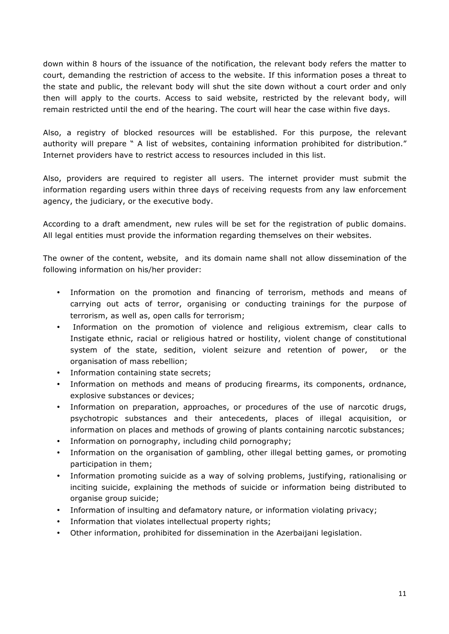down within 8 hours of the issuance of the notification, the relevant body refers the matter to court, demanding the restriction of access to the website. If this information poses a threat to the state and public, the relevant body will shut the site down without a court order and only then will apply to the courts. Access to said website, restricted by the relevant body, will remain restricted until the end of the hearing. The court will hear the case within five days.

Also, a registry of blocked resources will be established. For this purpose, the relevant authority will prepare " A list of websites, containing information prohibited for distribution." Internet providers have to restrict access to resources included in this list.

Also, providers are required to register all users. The internet provider must submit the information regarding users within three days of receiving requests from any law enforcement agency, the judiciary, or the executive body.

According to a draft amendment, new rules will be set for the registration of public domains. All legal entities must provide the information regarding themselves on their websites.

The owner of the content, website, and its domain name shall not allow dissemination of the following information on his/her provider:

- Information on the promotion and financing of terrorism, methods and means of carrying out acts of terror, organising or conducting trainings for the purpose of terrorism, as well as, open calls for terrorism;
- Information on the promotion of violence and religious extremism, clear calls to Instigate ethnic, racial or religious hatred or hostility, violent change of constitutional system of the state, sedition, violent seizure and retention of power, or the organisation of mass rebellion;
- Information containing state secrets;
- Information on methods and means of producing firearms, its components, ordnance, explosive substances or devices;
- Information on preparation, approaches, or procedures of the use of narcotic drugs, psychotropic substances and their antecedents, places of illegal acquisition, or information on places and methods of growing of plants containing narcotic substances;
- Information on pornography, including child pornography;
- Information on the organisation of gambling, other illegal betting games, or promoting participation in them;
- Information promoting suicide as a way of solving problems, justifying, rationalising or inciting suicide, explaining the methods of suicide or information being distributed to organise group suicide;
- Information of insulting and defamatory nature, or information violating privacy;
- Information that violates intellectual property rights;
- Other information, prohibited for dissemination in the Azerbaijani legislation.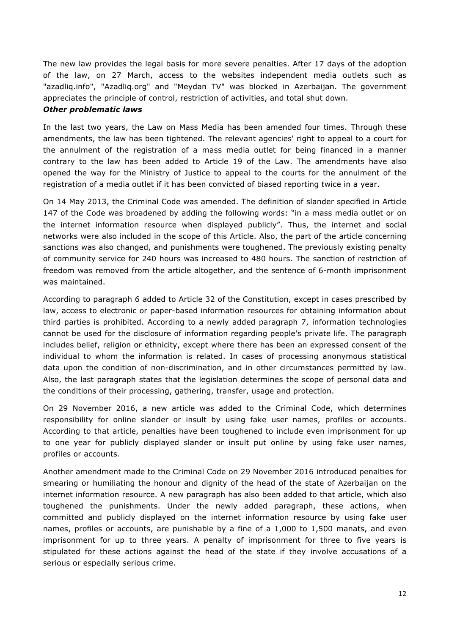The new law provides the legal basis for more severe penalties. After 17 days of the adoption of the law, on 27 March, access to the websites independent media outlets such as "azadliq.info", "Azadliq.org" and "Meydan TV" was blocked in Azerbaijan. The government appreciates the principle of control, restriction of activities, and total shut down.

#### *Other problematic laws*

In the last two years, the Law on Mass Media has been amended four times. Through these amendments, the law has been tightened. The relevant agencies' right to appeal to a court for the annulment of the registration of a mass media outlet for being financed in a manner contrary to the law has been added to Article 19 of the Law. The amendments have also opened the way for the Ministry of Justice to appeal to the courts for the annulment of the registration of a media outlet if it has been convicted of biased reporting twice in a year.

On 14 May 2013, the Criminal Code was amended. The definition of slander specified in Article 147 of the Code was broadened by adding the following words: "in a mass media outlet or on the internet information resource when displayed publicly". Thus, the internet and social networks were also included in the scope of this Article. Also, the part of the article concerning sanctions was also changed, and punishments were toughened. The previously existing penalty of community service for 240 hours was increased to 480 hours. The sanction of restriction of freedom was removed from the article altogether, and the sentence of 6-month imprisonment was maintained.

According to paragraph 6 added to Article 32 of the Constitution, except in cases prescribed by law, access to electronic or paper-based information resources for obtaining information about third parties is prohibited. According to a newly added paragraph 7, information technologies cannot be used for the disclosure of information regarding people's private life. The paragraph includes belief, religion or ethnicity, except where there has been an expressed consent of the individual to whom the information is related. In cases of processing anonymous statistical data upon the condition of non-discrimination, and in other circumstances permitted by law. Also, the last paragraph states that the legislation determines the scope of personal data and the conditions of their processing, gathering, transfer, usage and protection.

On 29 November 2016, a new article was added to the Criminal Code, which determines responsibility for online slander or insult by using fake user names, profiles or accounts. According to that article, penalties have been toughened to include even imprisonment for up to one year for publicly displayed slander or insult put online by using fake user names, profiles or accounts.

Another amendment made to the Criminal Code on 29 November 2016 introduced penalties for smearing or humiliating the honour and dignity of the head of the state of Azerbaijan on the internet information resource. A new paragraph has also been added to that article, which also toughened the punishments. Under the newly added paragraph, these actions, when committed and publicly displayed on the internet information resource by using fake user names, profiles or accounts, are punishable by a fine of a 1,000 to 1,500 manats, and even imprisonment for up to three years. A penalty of imprisonment for three to five years is stipulated for these actions against the head of the state if they involve accusations of a serious or especially serious crime.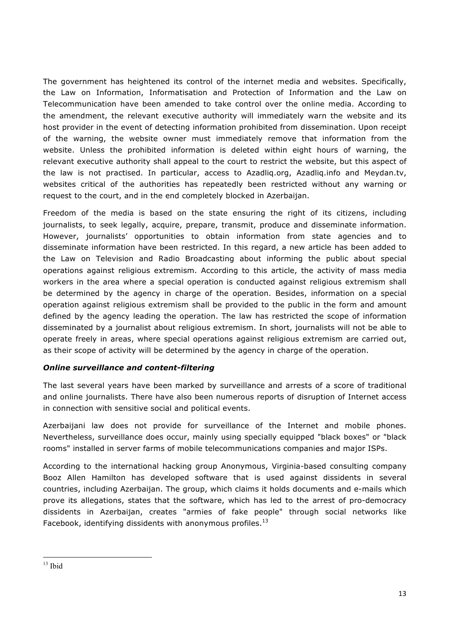The government has heightened its control of the internet media and websites. Specifically, the Law on Information, Informatisation and Protection of Information and the Law on Telecommunication have been amended to take control over the online media. According to the amendment, the relevant executive authority will immediately warn the website and its host provider in the event of detecting information prohibited from dissemination. Upon receipt of the warning, the website owner must immediately remove that information from the website. Unless the prohibited information is deleted within eight hours of warning, the relevant executive authority shall appeal to the court to restrict the website, but this aspect of the law is not practised. In particular, access to Azadliq.org, Azadliq.info and Meydan.tv, websites critical of the authorities has repeatedly been restricted without any warning or request to the court, and in the end completely blocked in Azerbaijan.

Freedom of the media is based on the state ensuring the right of its citizens, including journalists, to seek legally, acquire, prepare, transmit, produce and disseminate information. However, journalists' opportunities to obtain information from state agencies and to disseminate information have been restricted. In this regard, a new article has been added to the Law on Television and Radio Broadcasting about informing the public about special operations against religious extremism. According to this article, the activity of mass media workers in the area where a special operation is conducted against religious extremism shall be determined by the agency in charge of the operation. Besides, information on a special operation against religious extremism shall be provided to the public in the form and amount defined by the agency leading the operation. The law has restricted the scope of information disseminated by a journalist about religious extremism. In short, journalists will not be able to operate freely in areas, where special operations against religious extremism are carried out, as their scope of activity will be determined by the agency in charge of the operation.

### *Online surveillance and content-filtering*

The last several years have been marked by surveillance and arrests of a score of traditional and online journalists. There have also been numerous reports of disruption of Internet access in connection with sensitive social and political events.

Azerbaijani law does not provide for surveillance of the Internet and mobile phones. Nevertheless, surveillance does occur, mainly using specially equipped "black boxes" or "black rooms" installed in server farms of mobile telecommunications companies and major ISPs.

According to the international hacking group Anonymous, Virginia-based consulting company Booz Allen Hamilton has developed software that is used against dissidents in several countries, including Azerbaijan. The group, which claims it holds documents and e-mails which prove its allegations, states that the software, which has led to the arrest of pro-democracy dissidents in Azerbaijan, creates "armies of fake people" through social networks like Facebook, identifying dissidents with anonymous profiles.<sup>13</sup>

<u> 1989 - Johann Stein, marwolaethau a bh</u>

 $13$  Ibid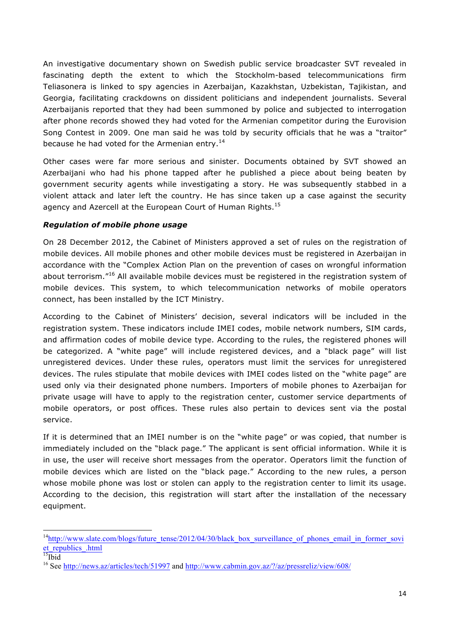An investigative documentary shown on Swedish public service broadcaster SVT revealed in fascinating depth the extent to which the Stockholm-based telecommunications firm Teliasonera is linked to spy agencies in Azerbaijan, Kazakhstan, Uzbekistan, Tajikistan, and Georgia, facilitating crackdowns on dissident politicians and independent journalists. Several Azerbaijanis reported that they had been summoned by police and subjected to interrogation after phone records showed they had voted for the Armenian competitor during the Eurovision Song Contest in 2009. One man said he was told by security officials that he was a "traitor" because he had voted for the Armenian entry.<sup>14</sup>

Other cases were far more serious and sinister. Documents obtained by SVT showed an Azerbaijani who had his phone tapped after he published a piece about being beaten by government security agents while investigating a story. He was subsequently stabbed in a violent attack and later left the country. He has since taken up a case against the security agency and Azercell at the European Court of Human Rights.<sup>15</sup>

### *Regulation of mobile phone usage*

On 28 December 2012, the Cabinet of Ministers approved a set of rules on the registration of mobile devices. All mobile phones and other mobile devices must be registered in Azerbaijan in accordance with the "Complex Action Plan on the prevention of cases on wrongful information about terrorism."<sup>16</sup> All available mobile devices must be registered in the registration system of mobile devices. This system, to which telecommunication networks of mobile operators connect, has been installed by the ICT Ministry.

According to the Cabinet of Ministers' decision, several indicators will be included in the registration system. These indicators include IMEI codes, mobile network numbers, SIM cards, and affirmation codes of mobile device type. According to the rules, the registered phones will be categorized. A "white page" will include registered devices, and a "black page" will list unregistered devices. Under these rules, operators must limit the services for unregistered devices. The rules stipulate that mobile devices with IMEI codes listed on the "white page" are used only via their designated phone numbers. Importers of mobile phones to Azerbaijan for private usage will have to apply to the registration center, customer service departments of mobile operators, or post offices. These rules also pertain to devices sent via the postal service.

If it is determined that an IMEI number is on the "white page" or was copied, that number is immediately included on the "black page." The applicant is sent official information. While it is in use, the user will receive short messages from the operator. Operators limit the function of mobile devices which are listed on the "black page." According to the new rules, a person whose mobile phone was lost or stolen can apply to the registration center to limit its usage. According to the decision, this registration will start after the installation of the necessary equipment.

 

 $14$ http://www.slate.com/blogs/future\_tense/2012/04/30/black\_box\_surveillance\_of\_phones\_email\_in\_former\_sovi et republics .html

 $\overline{^{15}}$ Ibid

<sup>&</sup>lt;sup>16</sup> See http://news.az/articles/tech/51997 and http://www.cabmin.gov.az/?/az/pressreliz/view/608/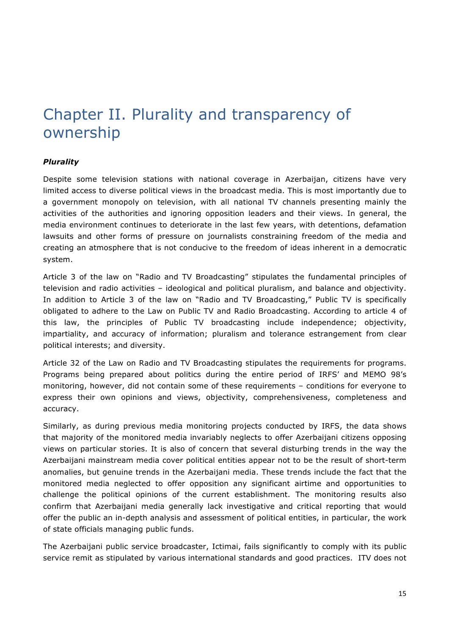## Chapter II. Plurality and transparency of ownership

### *Plurality*

Despite some television stations with national coverage in Azerbaijan, citizens have very limited access to diverse political views in the broadcast media. This is most importantly due to a government monopoly on television, with all national TV channels presenting mainly the activities of the authorities and ignoring opposition leaders and their views. In general, the media environment continues to deteriorate in the last few years, with detentions, defamation lawsuits and other forms of pressure on journalists constraining freedom of the media and creating an atmosphere that is not conducive to the freedom of ideas inherent in a democratic system.

Article 3 of the law on "Radio and TV Broadcasting" stipulates the fundamental principles of television and radio activities – ideological and political pluralism, and balance and objectivity. In addition to Article 3 of the law on "Radio and TV Broadcasting," Public TV is specifically obligated to adhere to the Law on Public TV and Radio Broadcasting. According to article 4 of this law, the principles of Public TV broadcasting include independence; objectivity, impartiality, and accuracy of information; pluralism and tolerance estrangement from clear political interests; and diversity.

Article 32 of the Law on Radio and TV Broadcasting stipulates the requirements for programs. Programs being prepared about politics during the entire period of IRFS' and MEMO 98's monitoring, however, did not contain some of these requirements – conditions for everyone to express their own opinions and views, objectivity, comprehensiveness, completeness and accuracy.

Similarly, as during previous media monitoring projects conducted by IRFS, the data shows that majority of the monitored media invariably neglects to offer Azerbaijani citizens opposing views on particular stories. It is also of concern that several disturbing trends in the way the Azerbaijani mainstream media cover political entities appear not to be the result of short-term anomalies, but genuine trends in the Azerbaijani media. These trends include the fact that the monitored media neglected to offer opposition any significant airtime and opportunities to challenge the political opinions of the current establishment. The monitoring results also confirm that Azerbaijani media generally lack investigative and critical reporting that would offer the public an in-depth analysis and assessment of political entities, in particular, the work of state officials managing public funds.

The Azerbaijani public service broadcaster, Ictimai, fails significantly to comply with its public service remit as stipulated by various international standards and good practices. ITV does not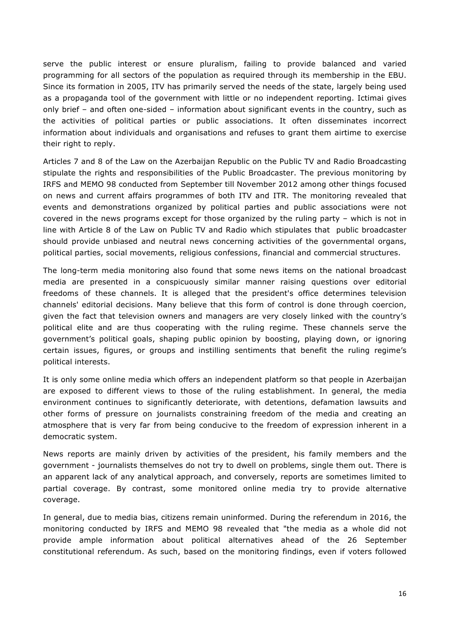serve the public interest or ensure pluralism, failing to provide balanced and varied programming for all sectors of the population as required through its membership in the EBU. Since its formation in 2005, ITV has primarily served the needs of the state, largely being used as a propaganda tool of the government with little or no independent reporting. Ictimai gives only brief – and often one-sided – information about significant events in the country, such as the activities of political parties or public associations. It often disseminates incorrect information about individuals and organisations and refuses to grant them airtime to exercise their right to reply.

Articles 7 and 8 of the Law on the Azerbaijan Republic on the Public TV and Radio Broadcasting stipulate the rights and responsibilities of the Public Broadcaster. The previous monitoring by IRFS and MEMO 98 conducted from September till November 2012 among other things focused on news and current affairs programmes of both ITV and ITR. The monitoring revealed that events and demonstrations organized by political parties and public associations were not covered in the news programs except for those organized by the ruling party – which is not in line with Article 8 of the Law on Public TV and Radio which stipulates that public broadcaster should provide unbiased and neutral news concerning activities of the governmental organs, political parties, social movements, religious confessions, financial and commercial structures.

The long-term media monitoring also found that some news items on the national broadcast media are presented in a conspicuously similar manner raising questions over editorial freedoms of these channels. It is alleged that the president's office determines television channels' editorial decisions. Many believe that this form of control is done through coercion, given the fact that television owners and managers are very closely linked with the country's political elite and are thus cooperating with the ruling regime. These channels serve the government's political goals, shaping public opinion by boosting, playing down, or ignoring certain issues, figures, or groups and instilling sentiments that benefit the ruling regime's political interests.

It is only some online media which offers an independent platform so that people in Azerbaijan are exposed to different views to those of the ruling establishment. In general, the media environment continues to significantly deteriorate, with detentions, defamation lawsuits and other forms of pressure on journalists constraining freedom of the media and creating an atmosphere that is very far from being conducive to the freedom of expression inherent in a democratic system.

News reports are mainly driven by activities of the president, his family members and the government - journalists themselves do not try to dwell on problems, single them out. There is an apparent lack of any analytical approach, and conversely, reports are sometimes limited to partial coverage. By contrast, some monitored online media try to provide alternative coverage.

In general, due to media bias, citizens remain uninformed. During the referendum in 2016, the monitoring conducted by IRFS and MEMO 98 revealed that "the media as a whole did not provide ample information about political alternatives ahead of the 26 September constitutional referendum. As such, based on the monitoring findings, even if voters followed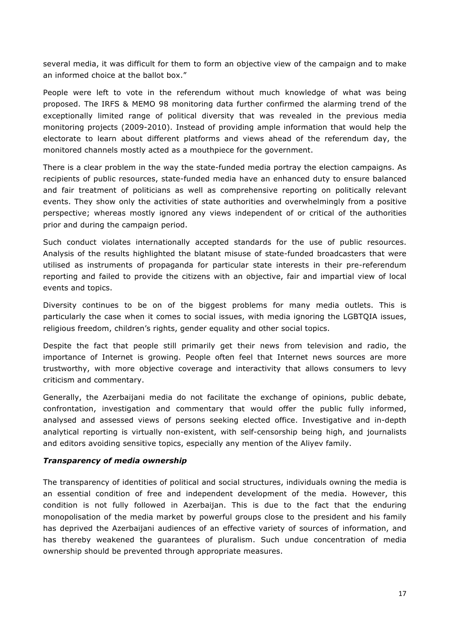several media, it was difficult for them to form an objective view of the campaign and to make an informed choice at the ballot box."

People were left to vote in the referendum without much knowledge of what was being proposed. The IRFS & MEMO 98 monitoring data further confirmed the alarming trend of the exceptionally limited range of political diversity that was revealed in the previous media monitoring projects (2009-2010). Instead of providing ample information that would help the electorate to learn about different platforms and views ahead of the referendum day, the monitored channels mostly acted as a mouthpiece for the government.

There is a clear problem in the way the state-funded media portray the election campaigns. As recipients of public resources, state-funded media have an enhanced duty to ensure balanced and fair treatment of politicians as well as comprehensive reporting on politically relevant events. They show only the activities of state authorities and overwhelmingly from a positive perspective; whereas mostly ignored any views independent of or critical of the authorities prior and during the campaign period.

Such conduct violates internationally accepted standards for the use of public resources. Analysis of the results highlighted the blatant misuse of state-funded broadcasters that were utilised as instruments of propaganda for particular state interests in their pre-referendum reporting and failed to provide the citizens with an objective, fair and impartial view of local events and topics.

Diversity continues to be on of the biggest problems for many media outlets. This is particularly the case when it comes to social issues, with media ignoring the LGBTQIA issues, religious freedom, children's rights, gender equality and other social topics.

Despite the fact that people still primarily get their news from television and radio, the importance of Internet is growing. People often feel that Internet news sources are more trustworthy, with more objective coverage and interactivity that allows consumers to levy criticism and commentary.

Generally, the Azerbaijani media do not facilitate the exchange of opinions, public debate, confrontation, investigation and commentary that would offer the public fully informed, analysed and assessed views of persons seeking elected office. Investigative and in-depth analytical reporting is virtually non-existent, with self-censorship being high, and journalists and editors avoiding sensitive topics, especially any mention of the Aliyev family.

#### *Transparency of media ownership*

The transparency of identities of political and social structures, individuals owning the media is an essential condition of free and independent development of the media. However, this condition is not fully followed in Azerbaijan. This is due to the fact that the enduring monopolisation of the media market by powerful groups close to the president and his family has deprived the Azerbaijani audiences of an effective variety of sources of information, and has thereby weakened the guarantees of pluralism. Such undue concentration of media ownership should be prevented through appropriate measures.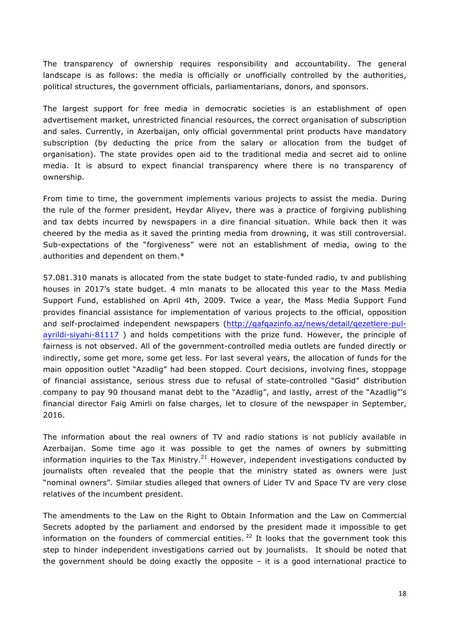The transparency of ownership requires responsibility and accountability. The general landscape is as follows: the media is officially or unofficially controlled by the authorities, political structures, the government officials, parliamentarians, donors, and sponsors.

The largest support for free media in democratic societies is an establishment of open advertisement market, unrestricted financial resources, the correct organisation of subscription and sales. Currently, in Azerbaijan, only official governmental print products have mandatory subscription (by deducting the price from the salary or allocation from the budget of organisation). The state provides open aid to the traditional media and secret aid to online media. It is absurd to expect financial transparency where there is no transparency of ownership.

From time to time, the government implements various projects to assist the media. During the rule of the former president, Heydar Aliyev, there was a practice of forgiving publishing and tax debts incurred by newspapers in a dire financial situation. While back then it was cheered by the media as it saved the printing media from drowning, it was still controversial. Sub-expectations of the "forgiveness" were not an establishment of media, owing to the authorities and dependent on them.\*

57.081.310 manats is allocated from the state budget to state-funded radio, tv and publishing houses in 2017's state budget. 4 mln manats to be allocated this year to the Mass Media Support Fund, established on April 4th, 2009. Twice a year, the Mass Media Support Fund provides financial assistance for implementation of various projects to the official, opposition and self-proclaimed independent newspapers (http://qafqazinfo.az/news/detail/qezetlere-pulayrildi-siyahi-81117 ) and holds competitions with the prize fund. However, the principle of fairness is not observed. All of the government-controlled media outlets are funded directly or indirectly, some get more, some get less. For last several years, the allocation of funds for the main opposition outlet "Azadlig" had been stopped. Court decisions, involving fines, stoppage of financial assistance, serious stress due to refusal of state-controlled "Gasid" distribution company to pay 90 thousand manat debt to the "Azadlig", and lastly, arrest of the "Azadlig"'s financial director Faig Amirli on false charges, let to closure of the newspaper in September, 2016.

The information about the real owners of TV and radio stations is not publicly available in Azerbaijan. Some time ago it was possible to get the names of owners by submitting information inquiries to the Tax Ministry.<sup>21</sup> However, independent investigations conducted by journalists often revealed that the people that the ministry stated as owners were just "nominal owners". Similar studies alleged that owners of Lider TV and Space TV are very close relatives of the incumbent president.

The amendments to the Law on the Right to Obtain Information and the Law on Commercial Secrets adopted by the parliament and endorsed by the president made it impossible to get information on the founders of commercial entities.  $22$  It looks that the government took this step to hinder independent investigations carried out by journalists. It should be noted that the government should be doing exactly the opposite – it is a good international practice to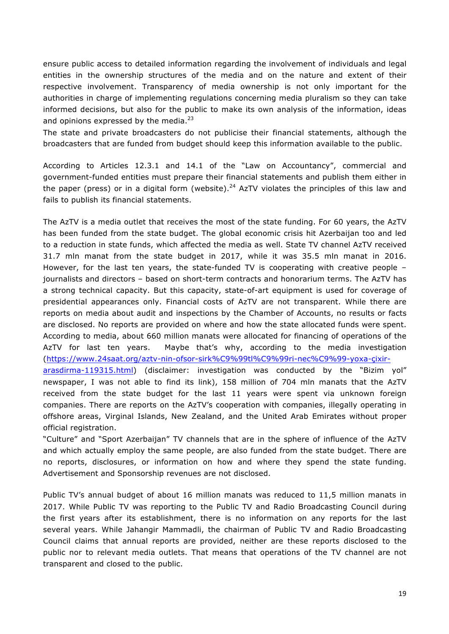ensure public access to detailed information regarding the involvement of individuals and legal entities in the ownership structures of the media and on the nature and extent of their respective involvement. Transparency of media ownership is not only important for the authorities in charge of implementing regulations concerning media pluralism so they can take informed decisions, but also for the public to make its own analysis of the information, ideas and opinions expressed by the media. $^{23}$ 

The state and private broadcasters do not publicise their financial statements, although the broadcasters that are funded from budget should keep this information available to the public.

According to Articles 12.3.1 and 14.1 of the "Law on Accountancy", commercial and government-funded entities must prepare their financial statements and publish them either in the paper (press) or in a digital form (website).<sup>24</sup> AzTV violates the principles of this law and fails to publish its financial statements.

The AzTV is a media outlet that receives the most of the state funding. For 60 years, the AzTV has been funded from the state budget. The global economic crisis hit Azerbaijan too and led to a reduction in state funds, which affected the media as well. State TV channel AzTV received 31.7 mln manat from the state budget in 2017, while it was 35.5 mln manat in 2016. However, for the last ten years, the state-funded TV is cooperating with creative people – journalists and directors – based on short-term contracts and honorarium terms. The AzTV has a strong technical capacity. But this capacity, state-of-art equipment is used for coverage of presidential appearances only. Financial costs of AzTV are not transparent. While there are reports on media about audit and inspections by the Chamber of Accounts, no results or facts are disclosed. No reports are provided on where and how the state allocated funds were spent. According to media, about 660 million manats were allocated for financing of operations of the AzTV for last ten years. Maybe that's why, according to the media investigation (https://www.24saat.org/aztv-nin-ofsor-sirk%C9%99tl%C9%99ri-nec%C9%99-yoxa-çixirarasdirma-119315.html) (disclaimer: investigation was conducted by the "Bizim yol"

newspaper, I was not able to find its link), 158 million of 704 mln manats that the AzTV received from the state budget for the last 11 years were spent via unknown foreign companies. There are reports on the AzTV's cooperation with companies, illegally operating in offshore areas, Virginal Islands, New Zealand, and the United Arab Emirates without proper official registration.

"Culture" and "Sport Azerbaijan" TV channels that are in the sphere of influence of the AzTV and which actually employ the same people, are also funded from the state budget. There are no reports, disclosures, or information on how and where they spend the state funding. Advertisement and Sponsorship revenues are not disclosed.

Public TV's annual budget of about 16 million manats was reduced to 11,5 million manats in 2017. While Public TV was reporting to the Public TV and Radio Broadcasting Council during the first years after its establishment, there is no information on any reports for the last several years. While Jahangir Mammadli, the chairman of Public TV and Radio Broadcasting Council claims that annual reports are provided, neither are these reports disclosed to the public nor to relevant media outlets. That means that operations of the TV channel are not transparent and closed to the public.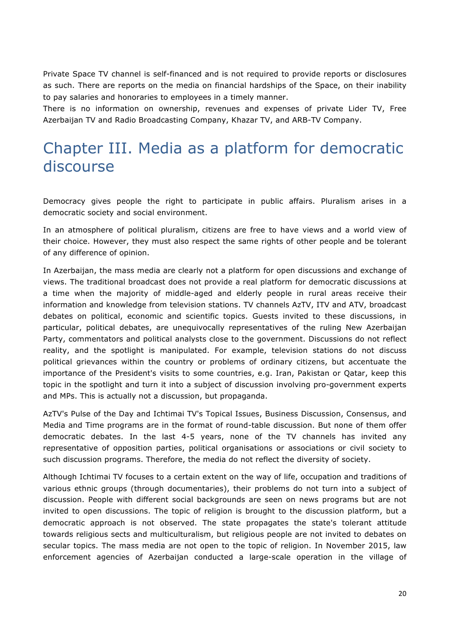Private Space TV channel is self-financed and is not required to provide reports or disclosures as such. There are reports on the media on financial hardships of the Space, on their inability to pay salaries and honoraries to employees in a timely manner.

There is no information on ownership, revenues and expenses of private Lider TV, Free Azerbaijan TV and Radio Broadcasting Company, Khazar TV, and ARB-TV Company.

## Chapter III. Media as a platform for democratic discourse

Democracy gives people the right to participate in public affairs. Pluralism arises in a democratic society and social environment.

In an atmosphere of political pluralism, citizens are free to have views and a world view of their choice. However, they must also respect the same rights of other people and be tolerant of any difference of opinion.

In Azerbaijan, the mass media are clearly not a platform for open discussions and exchange of views. The traditional broadcast does not provide a real platform for democratic discussions at a time when the majority of middle-aged and elderly people in rural areas receive their information and knowledge from television stations. TV channels AzTV, ITV and ATV, broadcast debates on political, economic and scientific topics. Guests invited to these discussions, in particular, political debates, are unequivocally representatives of the ruling New Azerbaijan Party, commentators and political analysts close to the government. Discussions do not reflect reality, and the spotlight is manipulated. For example, television stations do not discuss political grievances within the country or problems of ordinary citizens, but accentuate the importance of the President's visits to some countries, e.g. Iran, Pakistan or Qatar, keep this topic in the spotlight and turn it into a subject of discussion involving pro-government experts and MPs. This is actually not a discussion, but propaganda.

AzTV's Pulse of the Day and Ichtimai TV's Topical Issues, Business Discussion, Consensus, and Media and Time programs are in the format of round-table discussion. But none of them offer democratic debates. In the last 4-5 years, none of the TV channels has invited any representative of opposition parties, political organisations or associations or civil society to such discussion programs. Therefore, the media do not reflect the diversity of society.

Although Ichtimai TV focuses to a certain extent on the way of life, occupation and traditions of various ethnic groups (through documentaries), their problems do not turn into a subject of discussion. People with different social backgrounds are seen on news programs but are not invited to open discussions. The topic of religion is brought to the discussion platform, but a democratic approach is not observed. The state propagates the state's tolerant attitude towards religious sects and multiculturalism, but religious people are not invited to debates on secular topics. The mass media are not open to the topic of religion. In November 2015, law enforcement agencies of Azerbaijan conducted a large-scale operation in the village of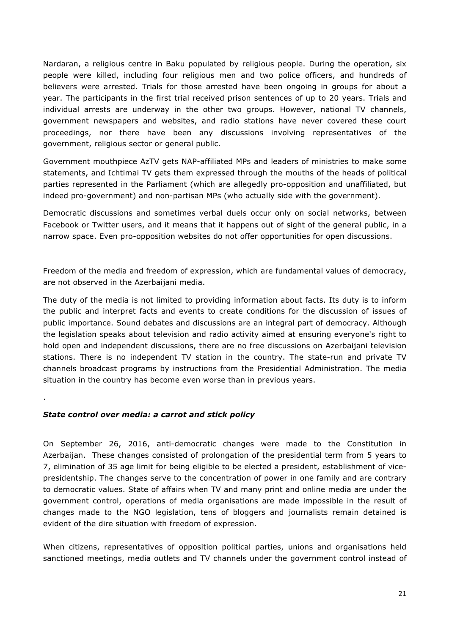Nardaran, a religious centre in Baku populated by religious people. During the operation, six people were killed, including four religious men and two police officers, and hundreds of believers were arrested. Trials for those arrested have been ongoing in groups for about a year. The participants in the first trial received prison sentences of up to 20 years. Trials and individual arrests are underway in the other two groups. However, national TV channels, government newspapers and websites, and radio stations have never covered these court proceedings, nor there have been any discussions involving representatives of the government, religious sector or general public.

Government mouthpiece AzTV gets NAP-affiliated MPs and leaders of ministries to make some statements, and Ichtimai TV gets them expressed through the mouths of the heads of political parties represented in the Parliament (which are allegedly pro-opposition and unaffiliated, but indeed pro-government) and non-partisan MPs (who actually side with the government).

Democratic discussions and sometimes verbal duels occur only on social networks, between Facebook or Twitter users, and it means that it happens out of sight of the general public, in a narrow space. Even pro-opposition websites do not offer opportunities for open discussions.

Freedom of the media and freedom of expression, which are fundamental values of democracy, are not observed in the Azerbaijani media.

The duty of the media is not limited to providing information about facts. Its duty is to inform the public and interpret facts and events to create conditions for the discussion of issues of public importance. Sound debates and discussions are an integral part of democracy. Although the legislation speaks about television and radio activity aimed at ensuring everyone's right to hold open and independent discussions, there are no free discussions on Azerbaijani television stations. There is no independent TV station in the country. The state-run and private TV channels broadcast programs by instructions from the Presidential Administration. The media situation in the country has become even worse than in previous years.

*State control over media: a carrot and stick policy*

.

On September 26, 2016, anti-democratic changes were made to the Constitution in Azerbaijan. These changes consisted of prolongation of the presidential term from 5 years to 7, elimination of 35 age limit for being eligible to be elected a president, establishment of vicepresidentship. The changes serve to the concentration of power in one family and are contrary to democratic values. State of affairs when TV and many print and online media are under the government control, operations of media organisations are made impossible in the result of changes made to the NGO legislation, tens of bloggers and journalists remain detained is evident of the dire situation with freedom of expression.

When citizens, representatives of opposition political parties, unions and organisations held sanctioned meetings, media outlets and TV channels under the government control instead of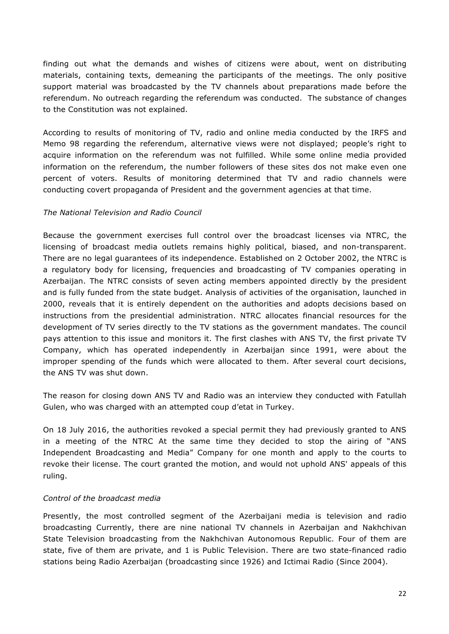finding out what the demands and wishes of citizens were about, went on distributing materials, containing texts, demeaning the participants of the meetings. The only positive support material was broadcasted by the TV channels about preparations made before the referendum. No outreach regarding the referendum was conducted. The substance of changes to the Constitution was not explained.

According to results of monitoring of TV, radio and online media conducted by the IRFS and Memo 98 regarding the referendum, alternative views were not displayed; people's right to acquire information on the referendum was not fulfilled. While some online media provided information on the referendum, the number followers of these sites dos not make even one percent of voters. Results of monitoring determined that TV and radio channels were conducting covert propaganda of President and the government agencies at that time.

#### *The National Television and Radio Council*

Because the government exercises full control over the broadcast licenses via NTRC, the licensing of broadcast media outlets remains highly political, biased, and non-transparent. There are no legal guarantees of its independence. Established on 2 October 2002, the NTRC is a regulatory body for licensing, frequencies and broadcasting of TV companies operating in Azerbaijan. The NTRC consists of seven acting members appointed directly by the president and is fully funded from the state budget. Analysis of activities of the organisation, launched in 2000, reveals that it is entirely dependent on the authorities and adopts decisions based on instructions from the presidential administration. NTRC allocates financial resources for the development of TV series directly to the TV stations as the government mandates. The council pays attention to this issue and monitors it. The first clashes with ANS TV, the first private TV Company, which has operated independently in Azerbaijan since 1991, were about the improper spending of the funds which were allocated to them. After several court decisions, the ANS TV was shut down.

The reason for closing down ANS TV and Radio was an interview they conducted with Fatullah Gulen, who was charged with an attempted coup d'etat in Turkey.

On 18 July 2016, the authorities revoked a special permit they had previously granted to ANS in a meeting of the NTRC At the same time they decided to stop the airing of "ANS Independent Broadcasting and Media" Company for one month and apply to the courts to revoke their license. The court granted the motion, and would not uphold ANS' appeals of this ruling.

#### *Control of the broadcast media*

Presently, the most controlled segment of the Azerbaijani media is television and radio broadcasting Currently, there are nine national TV channels in Azerbaijan and Nakhchivan State Television broadcasting from the Nakhchivan Autonomous Republic. Four of them are state, five of them are private, and 1 is Public Television. There are two state-financed radio stations being Radio Azerbaijan (broadcasting since 1926) and Ictimai Radio (Since 2004).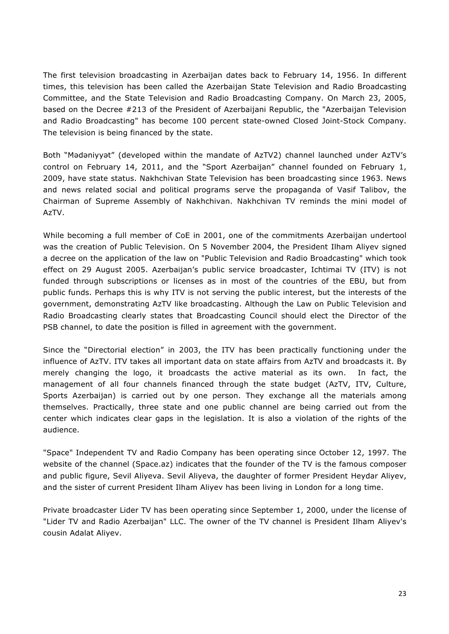The first television broadcasting in Azerbaijan dates back to February 14, 1956. In different times, this television has been called the Azerbaijan State Television and Radio Broadcasting Committee, and the State Television and Radio Broadcasting Company. On March 23, 2005, based on the Decree #213 of the President of Azerbaijani Republic, the "Azerbaijan Television and Radio Broadcasting" has become 100 percent state-owned Closed Joint-Stock Company. The television is being financed by the state.

Both "Mədəniyyət" (developed within the mandate of AzTV2) channel launched under AzTV's control on February 14, 2011, and the "Sport Azerbaijan" channel founded on February 1, 2009, have state status. Nakhchivan State Television has been broadcasting since 1963. News and news related social and political programs serve the propaganda of Vasif Talibov, the Chairman of Supreme Assembly of Nakhchivan. Nakhchivan TV reminds the mini model of AzTV.

While becoming a full member of CoE in 2001, one of the commitments Azerbaijan undertool was the creation of Public Television. On 5 November 2004, the President Ilham Aliyev signed a decree on the application of the law on "Public Television and Radio Broadcasting" which took effect on 29 August 2005. Azerbaijan's public service broadcaster, Ichtimai TV (ITV) is not funded through subscriptions or licenses as in most of the countries of the EBU, but from public funds. Perhaps this is why ITV is not serving the public interest, but the interests of the government, demonstrating AzTV like broadcasting. Although the Law on Public Television and Radio Broadcasting clearly states that Broadcasting Council should elect the Director of the PSB channel, to date the position is filled in agreement with the government.

Since the "Directorial election" in 2003, the ITV has been practically functioning under the influence of AzTV. ITV takes all important data on state affairs from AzTV and broadcasts it. By merely changing the logo, it broadcasts the active material as its own. In fact, the management of all four channels financed through the state budget (AzTV, ITV, Culture, Sports Azerbaijan) is carried out by one person. They exchange all the materials among themselves. Practically, three state and one public channel are being carried out from the center which indicates clear gaps in the legislation. It is also a violation of the rights of the audience.

"Space" Independent TV and Radio Company has been operating since October 12, 1997. The website of the channel (Space.az) indicates that the founder of the TV is the famous composer and public figure, Sevil Aliyeva. Sevil Aliyeva, the daughter of former President Heydar Aliyev, and the sister of current President Ilham Aliyev has been living in London for a long time.

Private broadcaster Lider TV has been operating since September 1, 2000, under the license of "Lider TV and Radio Azerbaijan" LLC. The owner of the TV channel is President Ilham Aliyev's cousin Adalat Aliyev.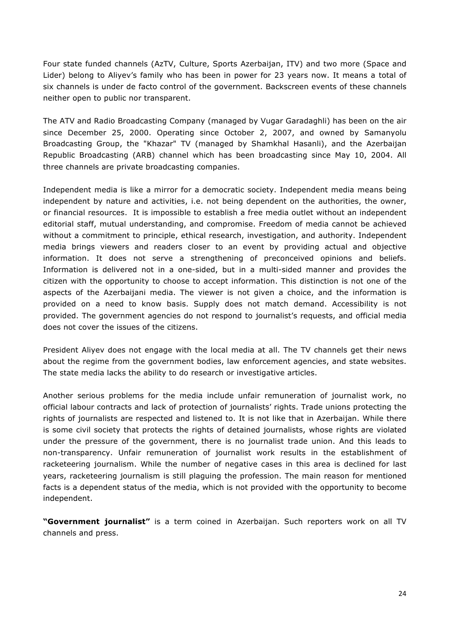Four state funded channels (AzTV, Culture, Sports Azerbaijan, ITV) and two more (Space and Lider) belong to Aliyev's family who has been in power for 23 years now. It means a total of six channels is under de facto control of the government. Backscreen events of these channels neither open to public nor transparent.

The ATV and Radio Broadcasting Company (managed by Vugar Garadaghli) has been on the air since December 25, 2000. Operating since October 2, 2007, and owned by Samanyolu Broadcasting Group, the "Khazar" TV (managed by Shamkhal Hasanli), and the Azerbaijan Republic Broadcasting (ARB) channel which has been broadcasting since May 10, 2004. All three channels are private broadcasting companies.

Independent media is like a mirror for a democratic society. Independent media means being independent by nature and activities, i.e. not being dependent on the authorities, the owner, or financial resources. It is impossible to establish a free media outlet without an independent editorial staff, mutual understanding, and compromise. Freedom of media cannot be achieved without a commitment to principle, ethical research, investigation, and authority. Independent media brings viewers and readers closer to an event by providing actual and objective information. It does not serve a strengthening of preconceived opinions and beliefs. Information is delivered not in a one-sided, but in a multi-sided manner and provides the citizen with the opportunity to choose to accept information. This distinction is not one of the aspects of the Azerbaijani media. The viewer is not given a choice, and the information is provided on a need to know basis. Supply does not match demand. Accessibility is not provided. The government agencies do not respond to journalist's requests, and official media does not cover the issues of the citizens.

President Aliyev does not engage with the local media at all. The TV channels get their news about the regime from the government bodies, law enforcement agencies, and state websites. The state media lacks the ability to do research or investigative articles.

Another serious problems for the media include unfair remuneration of journalist work, no official labour contracts and lack of protection of journalists' rights. Trade unions protecting the rights of journalists are respected and listened to. It is not like that in Azerbaijan. While there is some civil society that protects the rights of detained journalists, whose rights are violated under the pressure of the government, there is no journalist trade union. And this leads to non-transparency. Unfair remuneration of journalist work results in the establishment of racketeering journalism. While the number of negative cases in this area is declined for last years, racketeering journalism is still plaguing the profession. The main reason for mentioned facts is a dependent status of the media, which is not provided with the opportunity to become independent.

**"Government journalist"** is a term coined in Azerbaijan. Such reporters work on all TV channels and press.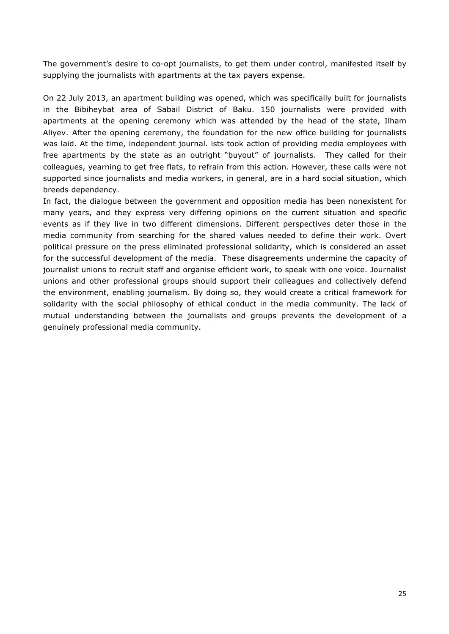The government's desire to co-opt journalists, to get them under control, manifested itself by supplying the journalists with apartments at the tax payers expense.

On 22 July 2013, an apartment building was opened, which was specifically built for journalists in the Bibiheybat area of Sabail District of Baku. 150 journalists were provided with apartments at the opening ceremony which was attended by the head of the state, Ilham Aliyev. After the opening ceremony, the foundation for the new office building for journalists was laid. At the time, independent journal. ists took action of providing media employees with free apartments by the state as an outright "buyout" of journalists. They called for their colleagues, yearning to get free flats, to refrain from this action. However, these calls were not supported since journalists and media workers, in general, are in a hard social situation, which breeds dependency.

In fact, the dialogue between the government and opposition media has been nonexistent for many years, and they express very differing opinions on the current situation and specific events as if they live in two different dimensions. Different perspectives deter those in the media community from searching for the shared values needed to define their work. Overt political pressure on the press eliminated professional solidarity, which is considered an asset for the successful development of the media. These disagreements undermine the capacity of journalist unions to recruit staff and organise efficient work, to speak with one voice. Journalist unions and other professional groups should support their colleagues and collectively defend the environment, enabling journalism. By doing so, they would create a critical framework for solidarity with the social philosophy of ethical conduct in the media community. The lack of mutual understanding between the journalists and groups prevents the development of a genuinely professional media community.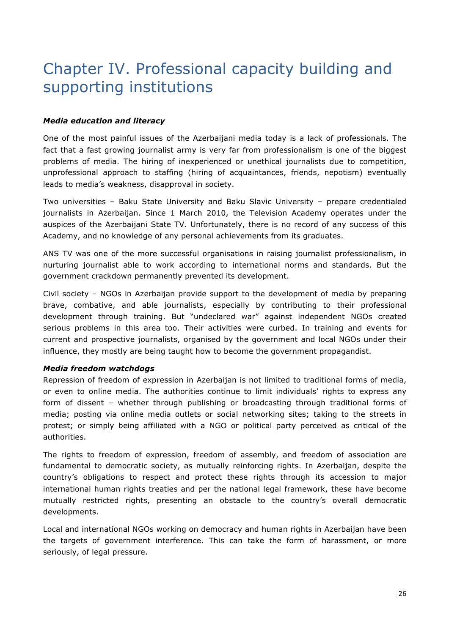# Chapter IV. Professional capacity building and supporting institutions

#### *Media education and literacy*

One of the most painful issues of the Azerbaijani media today is a lack of professionals. The fact that a fast growing journalist army is very far from professionalism is one of the biggest problems of media. The hiring of inexperienced or unethical journalists due to competition, unprofessional approach to staffing (hiring of acquaintances, friends, nepotism) eventually leads to media's weakness, disapproval in society.

Two universities – Baku State University and Baku Slavic University – prepare credentialed journalists in Azerbaijan. Since 1 March 2010, the Television Academy operates under the auspices of the Azerbaijani State TV. Unfortunately, there is no record of any success of this Academy, and no knowledge of any personal achievements from its graduates.

ANS TV was one of the more successful organisations in raising journalist professionalism, in nurturing journalist able to work according to international norms and standards. But the government crackdown permanently prevented its development.

Civil society – NGOs in Azerbaijan provide support to the development of media by preparing brave, combative, and able journalists, especially by contributing to their professional development through training. But "undeclared war" against independent NGOs created serious problems in this area too. Their activities were curbed. In training and events for current and prospective journalists, organised by the government and local NGOs under their influence, they mostly are being taught how to become the government propagandist.

#### *Media freedom watchdogs*

Repression of freedom of expression in Azerbaijan is not limited to traditional forms of media, or even to online media. The authorities continue to limit individuals' rights to express any form of dissent – whether through publishing or broadcasting through traditional forms of media; posting via online media outlets or social networking sites; taking to the streets in protest; or simply being affiliated with a NGO or political party perceived as critical of the authorities.

The rights to freedom of expression, freedom of assembly, and freedom of association are fundamental to democratic society, as mutually reinforcing rights. In Azerbaijan, despite the country's obligations to respect and protect these rights through its accession to major international human rights treaties and per the national legal framework, these have become mutually restricted rights, presenting an obstacle to the country's overall democratic developments.

Local and international NGOs working on democracy and human rights in Azerbaijan have been the targets of government interference. This can take the form of harassment, or more seriously, of legal pressure.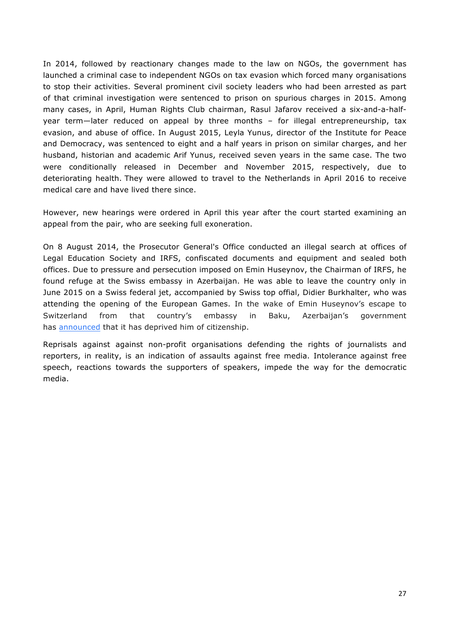In 2014, followed by reactionary changes made to the law on NGOs, the government has launched a criminal case to independent NGOs on tax evasion which forced many organisations to stop their activities. Several prominent civil society leaders who had been arrested as part of that criminal investigation were sentenced to prison on spurious charges in 2015. Among many cases, in April, Human Rights Club chairman, Rasul Jafarov received a six-and-a-halfyear term—later reduced on appeal by three months – for illegal entrepreneurship, tax evasion, and abuse of office. In August 2015, Leyla Yunus, director of the Institute for Peace and Democracy, was sentenced to eight and a half years in prison on similar charges, and her husband, historian and academic Arif Yunus, received seven years in the same case. The two were conditionally released in December and November 2015, respectively, due to deteriorating health. They were allowed to travel to the Netherlands in April 2016 to receive medical care and have lived there since.

However, new hearings were ordered in April this year after the court started examining an appeal from the pair, who are seeking full exoneration.

On 8 August 2014, the Prosecutor General's Office conducted an illegal search at offices of Legal Education Society and IRFS, confiscated documents and equipment and sealed both offices. Due to pressure and persecution imposed on Emin Huseynov, the Chairman of IRFS, he found refuge at the Swiss embassy in Azerbaijan. He was able to leave the country only in June 2015 on a Swiss federal jet, accompanied by Swiss top offial, Didier Burkhalter, who was attending the opening of the European Games. In the wake of Emin Huseynov's escape to Switzerland from that country's embassy in Baku, Azerbaijan's government has announced that it has deprived him of citizenship.

Reprisals against against non-profit organisations defending the rights of journalists and reporters, in reality, is an indication of assaults against free media. Intolerance against free speech, reactions towards the supporters of speakers, impede the way for the democratic media.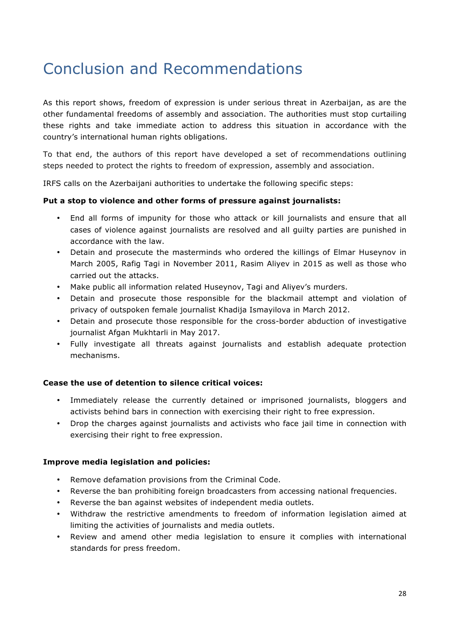# Conclusion and Recommendations

As this report shows, freedom of expression is under serious threat in Azerbaijan, as are the other fundamental freedoms of assembly and association. The authorities must stop curtailing these rights and take immediate action to address this situation in accordance with the country's international human rights obligations.

To that end, the authors of this report have developed a set of recommendations outlining steps needed to protect the rights to freedom of expression, assembly and association.

IRFS calls on the Azerbaijani authorities to undertake the following specific steps:

#### **Put a stop to violence and other forms of pressure against journalists:**

- End all forms of impunity for those who attack or kill journalists and ensure that all cases of violence against journalists are resolved and all guilty parties are punished in accordance with the law.
- Detain and prosecute the masterminds who ordered the killings of Elmar Huseynov in March 2005, Rafig Tagi in November 2011, Rasim Aliyev in 2015 as well as those who carried out the attacks.
- Make public all information related Huseynov, Tagi and Aliyev's murders.
- Detain and prosecute those responsible for the blackmail attempt and violation of privacy of outspoken female journalist Khadija Ismayilova in March 2012.
- Detain and prosecute those responsible for the cross-border abduction of investigative journalist Afgan Mukhtarli in May 2017.
- Fully investigate all threats against journalists and establish adequate protection mechanisms.

#### **Cease the use of detention to silence critical voices:**

- Immediately release the currently detained or imprisoned journalists, bloggers and activists behind bars in connection with exercising their right to free expression.
- Drop the charges against journalists and activists who face jail time in connection with exercising their right to free expression.

#### **Improve media legislation and policies:**

- Remove defamation provisions from the Criminal Code.
- Reverse the ban prohibiting foreign broadcasters from accessing national frequencies.
- Reverse the ban against websites of independent media outlets.
- Withdraw the restrictive amendments to freedom of information legislation aimed at limiting the activities of journalists and media outlets.
- Review and amend other media legislation to ensure it complies with international standards for press freedom.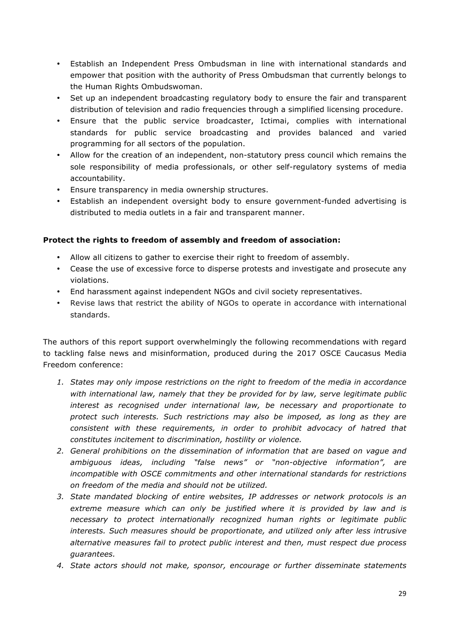- Establish an Independent Press Ombudsman in line with international standards and empower that position with the authority of Press Ombudsman that currently belongs to the Human Rights Ombudswoman.
- Set up an independent broadcasting regulatory body to ensure the fair and transparent distribution of television and radio frequencies through a simplified licensing procedure.
- Ensure that the public service broadcaster, Ictimai, complies with international standards for public service broadcasting and provides balanced and varied programming for all sectors of the population.
- Allow for the creation of an independent, non-statutory press council which remains the sole responsibility of media professionals, or other self-regulatory systems of media accountability.
- Ensure transparency in media ownership structures.
- Establish an independent oversight body to ensure government-funded advertising is distributed to media outlets in a fair and transparent manner.

### **Protect the rights to freedom of assembly and freedom of association:**

- Allow all citizens to gather to exercise their right to freedom of assembly.
- Cease the use of excessive force to disperse protests and investigate and prosecute any violations.
- End harassment against independent NGOs and civil society representatives.
- Revise laws that restrict the ability of NGOs to operate in accordance with international standards.

The authors of this report support overwhelmingly the following recommendations with regard to tackling false news and misinformation, produced during the 2017 OSCE Caucasus Media Freedom conference:

- *1. States may only impose restrictions on the right to freedom of the media in accordance with international law, namely that they be provided for by law, serve legitimate public interest as recognised under international law, be necessary and proportionate to protect such interests. Such restrictions may also be imposed, as long as they are consistent with these requirements, in order to prohibit advocacy of hatred that constitutes incitement to discrimination, hostility or violence.*
- *2. General prohibitions on the dissemination of information that are based on vague and ambiguous ideas, including "false news" or "non-objective information", are incompatible with OSCE commitments and other international standards for restrictions on freedom of the media and should not be utilized.*
- *3. State mandated blocking of entire websites, IP addresses or network protocols is an*  extreme measure which can only be justified where it is provided by law and is *necessary to protect internationally recognized human rights or legitimate public interests. Such measures should be proportionate, and utilized only after less intrusive alternative measures fail to protect public interest and then, must respect due process guarantees.*
- *4. State actors should not make, sponsor, encourage or further disseminate statements*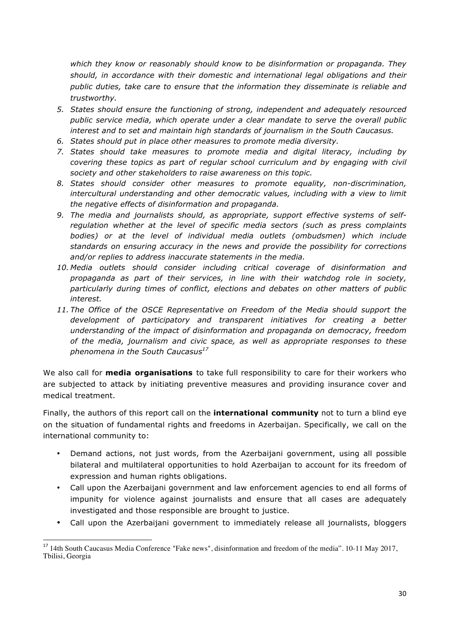*which they know or reasonably should know to be disinformation or propaganda. They should, in accordance with their domestic and international legal obligations and their public duties, take care to ensure that the information they disseminate is reliable and trustworthy.* 

- *5. States should ensure the functioning of strong, independent and adequately resourced public service media, which operate under a clear mandate to serve the overall public interest and to set and maintain high standards of journalism in the South Caucasus.*
- *6. States should put in place other measures to promote media diversity.*
- *7. States should take measures to promote media and digital literacy, including by covering these topics as part of regular school curriculum and by engaging with civil society and other stakeholders to raise awareness on this topic.*
- *8. States should consider other measures to promote equality, non-discrimination, intercultural understanding and other democratic values, including with a view to limit the negative effects of disinformation and propaganda.*
- *9. The media and journalists should, as appropriate, support effective systems of selfregulation whether at the level of specific media sectors (such as press complaints bodies) or at the level of individual media outlets (ombudsmen) which include standards on ensuring accuracy in the news and provide the possibility for corrections and/or replies to address inaccurate statements in the media.*
- *10. Media outlets should consider including critical coverage of disinformation and propaganda as part of their services, in line with their watchdog role in society, particularly during times of conflict, elections and debates on other matters of public interest.*
- *11. The Office of the OSCE Representative on Freedom of the Media should support the development of participatory and transparent initiatives for creating a better understanding of the impact of disinformation and propaganda on democracy, freedom of the media, journalism and civic space, as well as appropriate responses to these phenomena in the South Caucasus17*

We also call for **media organisations** to take full responsibility to care for their workers who are subjected to attack by initiating preventive measures and providing insurance cover and medical treatment.

Finally, the authors of this report call on the **international community** not to turn a blind eye on the situation of fundamental rights and freedoms in Azerbaijan. Specifically, we call on the international community to:

- Demand actions, not just words, from the Azerbaijani government, using all possible bilateral and multilateral opportunities to hold Azerbaijan to account for its freedom of expression and human rights obligations.
- Call upon the Azerbaijani government and law enforcement agencies to end all forms of impunity for violence against journalists and ensure that all cases are adequately investigated and those responsible are brought to justice.
- Call upon the Azerbaijani government to immediately release all journalists, bloggers

 

<sup>&</sup>lt;sup>17</sup> 14th South Caucasus Media Conference "Fake news", disinformation and freedom of the media". 10-11 May 2017, Tbilisi, Georgia